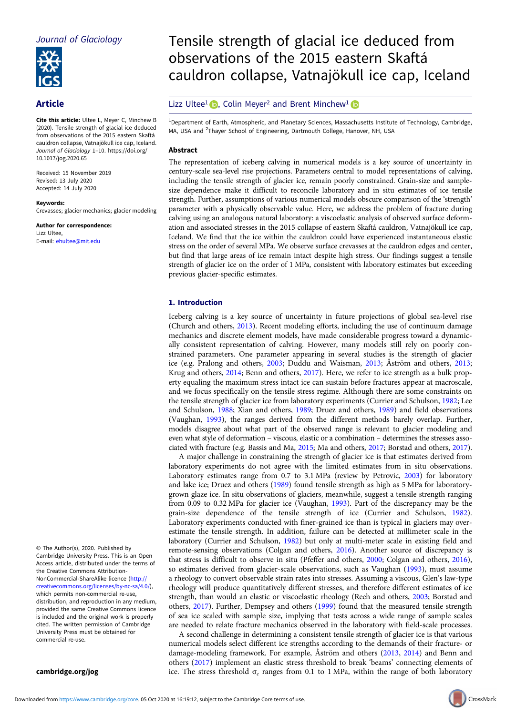Journal of Glaciology



# Article

Cite this article: Ultee L, Meyer C, Minchew B (2020). Tensile strength of glacial ice deduced from observations of the 2015 eastern Skaftá cauldron collapse, Vatnajökull ice cap, Iceland. Journal of Glaciology <sup>1</sup>–10. [https://doi.org/](https://doi.org/10.1017/jog.2020.65) [10.1017/jog.2020.65](https://doi.org/10.1017/jog.2020.65)

Received: 15 November 2019 Revised: 13 July 2020 Accepted: 14 July 2020

#### Keywords:

Crevasses; glacier mechanics; glacier modeling

Author for correspondence: Lizz Ultee, E-mail: [ehultee@mit.edu](mailto:ehultee@mit.edu)

# Tensile strength of glacial ice deduced from observations of the 2015 eastern Skaftá cauldron collapse, Vatnajökull ice cap, Iceland

## Lizz Ultee<sup>1</sup>  $\bullet$ , Colin Meyer<sup>2</sup> and Brent Minchew<sup>1</sup>  $\bullet$

<sup>1</sup> Department of Earth, Atmospheric, and Planetary Sciences, Massachusetts Institute of Technology, Cambridge, MA, USA and <sup>2</sup>Thayer School of Engineering, Dartmouth College, Hanover, NH, USA

## Abstract

The representation of iceberg calving in numerical models is a key source of uncertainty in century-scale sea-level rise projections. Parameters central to model representations of calving, including the tensile strength of glacier ice, remain poorly constrained. Grain-size and samplesize dependence make it difficult to reconcile laboratory and in situ estimates of ice tensile strength. Further, assumptions of various numerical models obscure comparison of the 'strength' parameter with a physically observable value. Here, we address the problem of fracture during calving using an analogous natural laboratory: a viscoelastic analysis of observed surface deformation and associated stresses in the 2015 collapse of eastern Skaftá cauldron, Vatnajökull ice cap, Iceland. We find that the ice within the cauldron could have experienced instantaneous elastic stress on the order of several MPa. We observe surface crevasses at the cauldron edges and center, but find that large areas of ice remain intact despite high stress. Our findings suggest a tensile strength of glacier ice on the order of 1 MPa, consistent with laboratory estimates but exceeding previous glacier-specific estimates.

#### 1. Introduction

Iceberg calving is a key source of uncertainty in future projections of global sea-level rise (Church and others, [2013](#page-8-0)). Recent modeling efforts, including the use of continuum damage mechanics and discrete element models, have made considerable progress toward a dynamically consistent representation of calving. However, many models still rely on poorly constrained parameters. One parameter appearing in several studies is the strength of glacier ice (e.g. Pralong and others, [2003;](#page-9-0) Duddu and Waisman, [2013](#page-8-0); Åström and others, [2013](#page-8-0); Krug and others, [2014](#page-9-0); Benn and others, [2017](#page-8-0)). Here, we refer to ice strength as a bulk property equaling the maximum stress intact ice can sustain before fractures appear at macroscale, and we focus specifically on the tensile stress regime. Although there are some constraints on the tensile strength of glacier ice from laboratory experiments (Currier and Schulson, [1982](#page-8-0); Lee and Schulson, [1988](#page-9-0); Xian and others, [1989](#page-9-0); Druez and others, [1989\)](#page-8-0) and field observations (Vaughan, [1993\)](#page-9-0), the ranges derived from the different methods barely overlap. Further, models disagree about what part of the observed range is relevant to glacier modeling and even what style of deformation – viscous, elastic or a combination – determines the stresses associated with fracture (e.g. Bassis and Ma, [2015;](#page-8-0) Ma and others, [2017;](#page-9-0) Borstad and others, [2017](#page-8-0)).

A major challenge in constraining the strength of glacier ice is that estimates derived from laboratory experiments do not agree with the limited estimates from in situ observations. Laboratory estimates range from 0.7 to 3.1 MPa (review by Petrovic, [2003\)](#page-9-0) for laboratory and lake ice; Druez and others ([1989\)](#page-8-0) found tensile strength as high as 5 MPa for laboratorygrown glaze ice. In situ observations of glaciers, meanwhile, suggest a tensile strength ranging from 0.09 to 0.32 MPa for glacier ice (Vaughan, [1993](#page-9-0)). Part of the discrepancy may be the grain-size dependence of the tensile strength of ice (Currier and Schulson, [1982](#page-8-0)). Laboratory experiments conducted with finer-grained ice than is typical in glaciers may overestimate the tensile strength. In addition, failure can be detected at millimeter scale in the laboratory (Currier and Schulson, [1982\)](#page-8-0) but only at multi-meter scale in existing field and remote-sensing observations (Colgan and others, [2016](#page-8-0)). Another source of discrepancy is that stress is difficult to observe in situ (Pfeffer and others, [2000;](#page-9-0) Colgan and others, [2016](#page-8-0)), so estimates derived from glacier-scale observations, such as Vaughan [\(1993](#page-9-0)), must assume a rheology to convert observable strain rates into stresses. Assuming a viscous, Glen's law-type rheology will produce quantitatively different stresses, and therefore different estimates of ice strength, than would an elastic or viscoelastic rheology (Reeh and others, [2003;](#page-9-0) Borstad and others, [2017\)](#page-8-0). Further, Dempsey and others ([1999](#page-8-0)) found that the measured tensile strength of sea ice scaled with sample size, implying that tests across a wide range of sample scales are needed to relate fracture mechanics observed in the laboratory with field-scale processes.

A second challenge in determining a consistent tensile strength of glacier ice is that various numerical models select different ice strengths according to the demands of their fracture- or damage-modeling framework. For example, Åström and others [\(2013](#page-8-0), [2014](#page-8-0)) and Benn and others ([2017\)](#page-8-0) implement an elastic stress threshold to break 'beams' connecting elements of ice. The stress threshold  $\sigma_c$  ranges from 0.1 to 1 MPa, within the range of both laboratory

© The Author(s), 2020. Published by Cambridge University Press. This is an Open Access article, distributed under the terms of the Creative Commons Attribution-NonCommercial-ShareAlike licence [\(http://](http://creativecommons.org/licenses/by-nc-sa/4.0/) [creativecommons.org/licenses/by-nc-sa/4.0/](http://creativecommons.org/licenses/by-nc-sa/4.0/)), which permits non-commercial re-use. distribution, and reproduction in any medium, provided the same Creative Commons licence is included and the original work is properly cited. The written permission of Cambridge University Press must be obtained for commercial re-use.

[cambridge.org/jog](https://www.cambridge.org/jog)

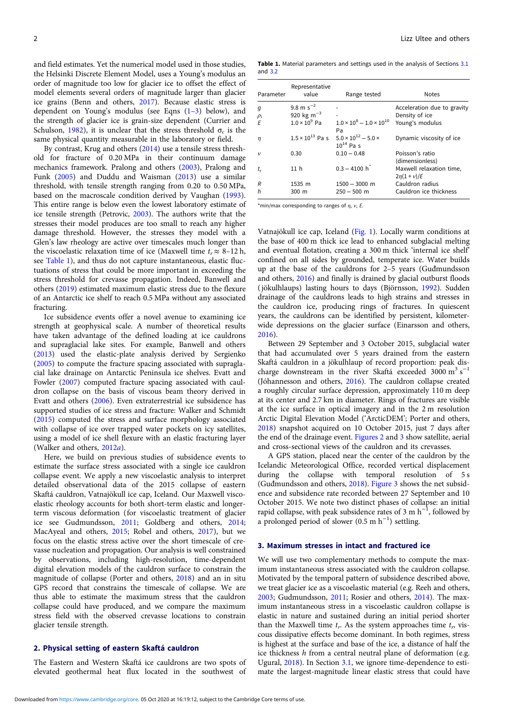<span id="page-1-0"></span>and field estimates. Yet the numerical model used in those studies, the Helsinki Discrete Element Model, uses a Young's modulus an order of magnitude too low for glacier ice to offset the effect of model elements several orders of magnitude larger than glacier ice grains (Benn and others, [2017](#page-8-0)). Because elastic stress is dependent on Young's modulus (see Eqns  $(1-3)$  $(1-3)$  $(1-3)$  $(1-3)$  below), and the strength of glacier ice is grain-size dependent (Currier and Schulson, [1982](#page-8-0)), it is unclear that the stress threshold  $\sigma_c$  is the same physical quantity measurable in the laboratory or field.

By contrast, Krug and others [\(2014](#page-9-0)) use a tensile stress threshold for fracture of 0.20 MPa in their continuum damage mechanics framework. Pralong and others ([2003\)](#page-9-0), Pralong and Funk ([2005\)](#page-9-0) and Duddu and Waisman [\(2013\)](#page-8-0) use a similar threshold, with tensile strength ranging from 0.20 to 0.50 MPa, based on the macroscale condition derived by Vaughan ([1993\)](#page-9-0). This entire range is below even the lowest laboratory estimate of ice tensile strength (Petrovic, [2003\)](#page-9-0). The authors write that the stresses their model produces are too small to reach any higher damage threshold. However, the stresses they model with a Glen's law rheology are active over timescales much longer than the viscoelastic relaxation time of ice (Maxwell time  $t_r \approx 8$ –12 h, see Table 1), and thus do not capture instantaneous, elastic fluctuations of stress that could be more important in exceeding the stress threshold for crevasse propagation. Indeed, Banwell and others [\(2019](#page-8-0)) estimated maximum elastic stress due to the flexure of an Antarctic ice shelf to reach 0.5 MPa without any associated fracturing.

Ice subsidence events offer a novel avenue to examining ice strength at geophysical scale. A number of theoretical results have taken advantage of the defined loading at ice cauldrons and supraglacial lake sites. For example, Banwell and others ([2013](#page-8-0)) used the elastic-plate analysis derived by Sergienko ([2005](#page-9-0)) to compute the fracture spacing associated with supraglacial lake drainage on Antarctic Peninsula ice shelves. Evatt and Fowler ([2007](#page-8-0)) computed fracture spacing associated with cauldron collapse on the basis of viscous beam theory derived in Evatt and others ([2006\)](#page-8-0). Even extraterrestrial ice subsidence has supported studies of ice stress and fracture: Walker and Schmidt ([2015](#page-9-0)) computed the stress and surface morphology associated with collapse of ice over trapped water pockets on icy satellites, using a model of ice shell flexure with an elastic fracturing layer (Walker and others, [2012](#page-9-0)a).

Here, we build on previous studies of subsidence events to estimate the surface stress associated with a single ice cauldron collapse event. We apply a new viscoelastic analysis to interpret detailed observational data of the 2015 collapse of eastern Skaftá cauldron, Vatnajökull ice cap, Iceland. Our Maxwell viscoelastic rheology accounts for both short-term elastic and longerterm viscous deformation (for viscoelastic treatment of glacier ice see Gudmundsson, [2011;](#page-9-0) Goldberg and others, [2014](#page-9-0); MacAyeal and others, [2015](#page-9-0); Robel and others, [2017](#page-9-0)), but we focus on the elastic stress active over the short timescale of crevasse nucleation and propagation. Our analysis is well constrained by observations, including high-resolution, time-dependent digital elevation models of the cauldron surface to constrain the magnitude of collapse (Porter and others, [2018\)](#page-9-0) and an in situ GPS record that constrains the timescale of collapse. We are thus able to estimate the maximum stress that the cauldron collapse could have produced, and we compare the maximum stress field with the observed crevasse locations to constrain glacier tensile strength.

## 2. Physical setting of eastern Skaftá cauldron

The Eastern and Western Skaftá ice cauldrons are two spots of elevated geothermal heat flux located in the southwest of

Table 1. Material parameters and settings used in the analysis of Sections [3.1](#page-2-0) and [3.2](#page-3-0)

| Parameter   | Representative<br>value   | Range tested                                        | <b>Notes</b>                              |
|-------------|---------------------------|-----------------------------------------------------|-------------------------------------------|
| g           | 9.8 m $s^{-2}$            |                                                     | Acceleration due to gravity               |
| $\rho_i$    | 920 kg m <sup>-3</sup>    |                                                     | Density of ice                            |
| E           | $1.0 \times 10^9$ Pa      | $1.0 \times 10^8 - 1.0 \times 10^{10}$<br>Pa        | Young's modulus                           |
| $\eta$      | $1.5 \times 10^{13}$ Pa s | $5.0 \times 10^{12} - 5.0 \times$<br>$10^{14}$ Pa s | Dynamic viscosity of ice                  |
| $\mathbf v$ | 0.30                      | $0.10 - 0.48$                                       | Poisson's ratio<br>(dimensionless)        |
| $t_{r}$     | 11 <sub>h</sub>           | $0.3 - 4100 h$                                      | Maxwell relaxation time,<br>$2n(1 + v)/E$ |
| R           | 1535 m                    | $1500 - 3000$ m                                     | Cauldron radius                           |
| h           | 300 m                     | $250 - 500$ m                                       | Cauldron ice thickness                    |

\*min/max corresponding to ranges of  $\eta$ ,  $v$ , E.

Vatnajökull ice cap, Iceland [\(Fig. 1\)](#page-2-0). Locally warm conditions at the base of 400 m thick ice lead to enhanced subglacial melting and eventual flotation, creating a 300 m thick 'internal ice shelf' confined on all sides by grounded, temperate ice. Water builds up at the base of the cauldrons for 2–5 years (Guđmundsson and others, [2016\)](#page-9-0) and finally is drained by glacial outburst floods ( jökulhlaups) lasting hours to days (Björnsson, [1992](#page-8-0)). Sudden drainage of the cauldrons leads to high strains and stresses in the cauldron ice, producing rings of fractures. In quiescent years, the cauldrons can be identified by persistent, kilometerwide depressions on the glacier surface (Einarsson and others, [2016\)](#page-8-0).

Between 29 September and 3 October 2015, subglacial water that had accumulated over 5 years drained from the eastern Skaftá cauldron in a jökulhlaup of record proportion: peak discharge downstream in the river Skaftá exceeded 3000 m<sup>3</sup> s<sup>-1</sup> (Jóhannesson and others, [2016](#page-9-0)). The cauldron collapse created a roughly circular surface depression, approximately 110 m deep at its center and 2.7 km in diameter. Rings of fractures are visible at the ice surface in optical imagery and in the 2 m resolution Arctic Digital Elevation Model ('ArcticDEM'; Porter and others, [2018\)](#page-9-0) snapshot acquired on 10 October 2015, just 7 days after the end of the drainage event. [Figures 2](#page-2-0) and [3](#page-3-0) show satellite, aerial and cross-sectional views of the cauldron and its crevasses.

A GPS station, placed near the center of the cauldron by the Icelandic Meteorological Office, recorded vertical displacement during the collapse with temporal resolution of 5 s (Guđmundsson and others, [2018\)](#page-9-0). [Figure 3](#page-3-0) shows the net subsidence and subsidence rate recorded between 27 September and 10 October 2015. We note two distinct phases of collapse: an initial rapid collapse, with peak subsidence rates of 3 m  $h^{-1}$ , followed by a prolonged period of slower  $(0.5 \text{ m h}^{-1})$  settling.

#### 3. Maximum stresses in intact and fractured ice

We will use two complementary methods to compute the maximum instantaneous stress associated with the cauldron collapse. Motivated by the temporal pattern of subsidence described above, we treat glacier ice as a viscoelastic material (e.g. Reeh and others, [2003;](#page-9-0) Gudmundsson, [2011](#page-9-0); Rosier and others, [2014\)](#page-9-0). The maximum instantaneous stress in a viscoelastic cauldron collapse is elastic in nature and sustained during an initial period shorter than the Maxwell time  $t_r$ . As the system approaches time  $t_r$ , viscous dissipative effects become dominant. In both regimes, stress is highest at the surface and base of the ice, a distance of half the ice thickness h from a central neutral plane of deformation (e.g. Ugural, [2018\)](#page-9-0). In Section [3.1](#page-2-0), we ignore time-dependence to estimate the largest-magnitude linear elastic stress that could have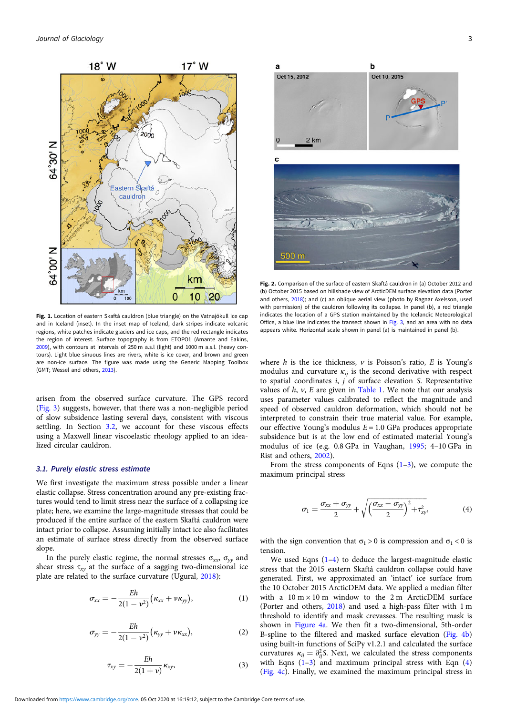<span id="page-2-0"></span>

Fig. 1. Location of eastern Skaftá cauldron (blue triangle) on the Vatnajökull ice cap and in Iceland (inset). In the inset map of Iceland, dark stripes indicate volcanic regions, white patches indicate glaciers and ice caps, and the red rectangle indicates the region of interest. Surface topography is from ETOPO1 (Amante and Eakins, [2009](#page-8-0)), with contours at intervals of 250 m a.s.l (light) and 1000 m a.s.l. (heavy contours). Light blue sinuous lines are rivers, white is ice cover, and brown and green are non-ice surface. The figure was made using the Generic Mapping Toolbox (GMT; Wessel and others, [2013\)](#page-9-0).

arisen from the observed surface curvature. The GPS record ([Fig. 3](#page-3-0)) suggests, however, that there was a non-negligible period of slow subsidence lasting several days, consistent with viscous settling. In Section [3.2,](#page-3-0) we account for these viscous effects using a Maxwell linear viscoelastic rheology applied to an idealized circular cauldron.

#### 3.1. Purely elastic stress estimate

We first investigate the maximum stress possible under a linear elastic collapse. Stress concentration around any pre-existing fractures would tend to limit stress near the surface of a collapsing ice plate; here, we examine the large-magnitude stresses that could be produced if the entire surface of the eastern Skaftá cauldron were intact prior to collapse. Assuming initially intact ice also facilitates an estimate of surface stress directly from the observed surface slope.

In the purely elastic regime, the normal stresses  $\sigma_{xx}$ ,  $\sigma_{yy}$  and shear stress  $\tau_{xy}$  at the surface of a sagging two-dimensional ice plate are related to the surface curvature (Ugural, [2018](#page-9-0)):

$$
\sigma_{xx} = -\frac{Eh}{2(1-\nu^2)}(\kappa_{xx} + \nu \kappa_{yy}), \qquad (1)
$$

$$
\sigma_{yy} = -\frac{Eh}{2(1 - v^2)} (\kappa_{yy} + v \kappa_{xx}), \tag{2}
$$

$$
\tau_{xy} = -\frac{Eh}{2(1+\nu)}\kappa_{xy},\qquad(3)
$$



Fig. 2. Comparison of the surface of eastern Skaftá cauldron in (a) October 2012 and (b) October 2015 based on hillshade view of ArcticDEM surface elevation data (Porter and others, [2018\)](#page-9-0); and (c) an oblique aerial view (photo by Ragnar Axelsson, used with permission) of the cauldron following its collapse. In panel (b), a red triangle indicates the location of a GPS station maintained by the Icelandic Meteorological Office, a blue line indicates the transect shown in [Fig. 3](#page-3-0), and an area with no data appears white. Horizontal scale shown in panel (a) is maintained in panel (b).

where  $h$  is the ice thickness,  $v$  is Poisson's ratio,  $E$  is Young's modulus and curvature  $\kappa_{ii}$  is the second derivative with respect to spatial coordinates  $i$ ,  $j$  of surface elevation S. Representative values of  $h$ ,  $v$ ,  $E$  are given in [Table 1](#page-1-0). We note that our analysis uses parameter values calibrated to reflect the magnitude and speed of observed cauldron deformation, which should not be interpreted to constrain their true material value. For example, our effective Young's modulus  $E = 1.0$  GPa produces appropriate subsidence but is at the low end of estimated material Young's modulus of ice (e.g. 0.8 GPa in Vaughan, [1995](#page-9-0); 4–10 GPa in Rist and others, [2002](#page-9-0)).

From the stress components of Eqns  $(1-3)$ , we compute the maximum principal stress

$$
\sigma_1 = \frac{\sigma_{xx} + \sigma_{yy}}{2} + \sqrt{\left(\frac{\sigma_{xx} - \sigma_{yy}}{2}\right)^2 + \tau_{xy}^2},\tag{4}
$$

with the sign convention that  $\sigma_1 > 0$  is compression and  $\sigma_1 < 0$  is tension.

We used Eqns  $(1-4)$  to deduce the largest-magnitude elastic stress that the 2015 eastern Skaftá cauldron collapse could have generated. First, we approximated an 'intact' ice surface from the 10 October 2015 ArcticDEM data. We applied a median filter with a  $10 \text{ m} \times 10 \text{ m}$  window to the 2 m ArcticDEM surface (Porter and others, [2018](#page-9-0)) and used a high-pass filter with 1 m threshold to identify and mask crevasses. The resulting mask is shown in [Figure 4a.](#page-4-0) We then fit a two-dimensional, 5th-order B-spline to the filtered and masked surface elevation ([Fig. 4b](#page-4-0)) using built-in functions of SciPy v1.2.1 and calculated the surface curvatures  $\kappa_{ij} = \partial_{ij}^2 S$ . Next, we calculated the stress components with Eqns  $(1-3)$  and maximum principal stress with Eqn  $(4)$ [\(Fig. 4c](#page-4-0)). Finally, we examined the maximum principal stress in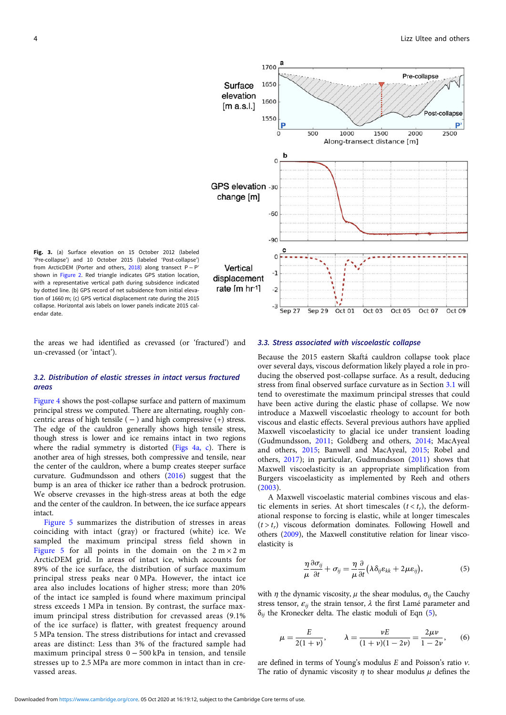<span id="page-3-0"></span>

Fig. 3. (a) Surface elevation on 15 October 2012 (labeled 'Pre-collapse') and 10 October 2015 (labeled 'Post-collapse') from ArcticDEM (Porter and others, [2018\)](#page-9-0) along transect  $P - P$ shown in [Figure 2.](#page-2-0) Red triangle indicates GPS station location, with a representative vertical path during subsidence indicated by dotted line. (b) GPS record of net subsidence from initial elevation of 1660 m; (c) GPS vertical displacement rate during the 2015 collapse. Horizontal axis labels on lower panels indicate 2015 calendar date.

the areas we had identified as crevassed (or 'fractured') and un-crevassed (or 'intact').

## 3.2. Distribution of elastic stresses in intact versus fractured areas

[Figure 4](#page-4-0) shows the post-collapse surface and pattern of maximum principal stress we computed. There are alternating, roughly concentric areas of high tensile ( $-$ ) and high compressive (+) stress. The edge of the cauldron generally shows high tensile stress, though stress is lower and ice remains intact in two regions where the radial symmetry is distorted ([Figs 4a, c\)](#page-4-0). There is another area of high stresses, both compressive and tensile, near the center of the cauldron, where a bump creates steeper surface curvature. Guđmundsson and others [\(2016](#page-9-0)) suggest that the bump is an area of thicker ice rather than a bedrock protrusion. We observe crevasses in the high-stress areas at both the edge and the center of the cauldron. In between, the ice surface appears intact.

[Figure 5](#page-4-0) summarizes the distribution of stresses in areas coinciding with intact (gray) or fractured (white) ice. We sampled the maximum principal stress field shown in [Figure 5](#page-4-0) for all points in the domain on the  $2 m \times 2 m$ ArcticDEM grid. In areas of intact ice, which accounts for 89% of the ice surface, the distribution of surface maximum principal stress peaks near 0 MPa. However, the intact ice area also includes locations of higher stress; more than 20% of the intact ice sampled is found where maximum principal stress exceeds 1 MPa in tension. By contrast, the surface maximum principal stress distribution for crevassed areas (9.1% of the ice surface) is flatter, with greatest frequency around 5 MPa tension. The stress distributions for intact and crevassed areas are distinct: Less than 3% of the fractured sample had maximum principal stress 0 − 500 kPa in tension, and tensile stresses up to 2.5 MPa are more common in intact than in crevassed areas.

#### 3.3. Stress associated with viscoelastic collapse

Because the 2015 eastern Skaftá cauldron collapse took place over several days, viscous deformation likely played a role in producing the observed post-collapse surface. As a result, deducing stress from final observed surface curvature as in Section [3.1](#page-2-0) will tend to overestimate the maximum principal stresses that could have been active during the elastic phase of collapse. We now introduce a Maxwell viscoelastic rheology to account for both viscous and elastic effects. Several previous authors have applied Maxwell viscoelasticity to glacial ice under transient loading (Gudmundsson, [2011;](#page-9-0) Goldberg and others, [2014](#page-9-0); MacAyeal and others, [2015](#page-9-0); Banwell and MacAyeal, [2015;](#page-8-0) Robel and others, [2017\)](#page-9-0); in particular, Gudmundsson ([2011](#page-9-0)) shows that Maxwell viscoelasticity is an appropriate simplification from Burgers viscoelasticity as implemented by Reeh and others ([2003](#page-9-0)).

A Maxwell viscoelastic material combines viscous and elastic elements in series. At short timescales  $(t < t<sub>r</sub>)$ , the deformational response to forcing is elastic, while at longer timescales  $(t > t<sub>r</sub>)$  viscous deformation dominates. Following Howell and others ([2009](#page-9-0)), the Maxwell constitutive relation for linear viscoelasticity is

$$
\frac{\eta}{\mu}\frac{\partial \sigma_{ij}}{\partial t} + \sigma_{ij} = \frac{\eta}{\mu}\frac{\partial}{\partial t}(\lambda \delta_{ij}\varepsilon_{kk} + 2\mu\varepsilon_{ij}),
$$
\n(5)

with  $\eta$  the dynamic viscosity,  $\mu$  the shear modulus,  $\sigma_{ii}$  the Cauchy stress tensor,  $\varepsilon_{ij}$  the strain tensor,  $\lambda$  the first Lamé parameter and  $\delta_{ij}$  the Kronecker delta. The elastic moduli of Eqn (5),

$$
\mu = \frac{E}{2(1+\nu)}, \qquad \lambda = \frac{\nu E}{(1+\nu)(1-2\nu)} = \frac{2\mu\nu}{1-2\nu}, \qquad (6)
$$

are defined in terms of Young's modulus  $E$  and Poisson's ratio  $v$ . The ratio of dynamic viscosity  $\eta$  to shear modulus  $\mu$  defines the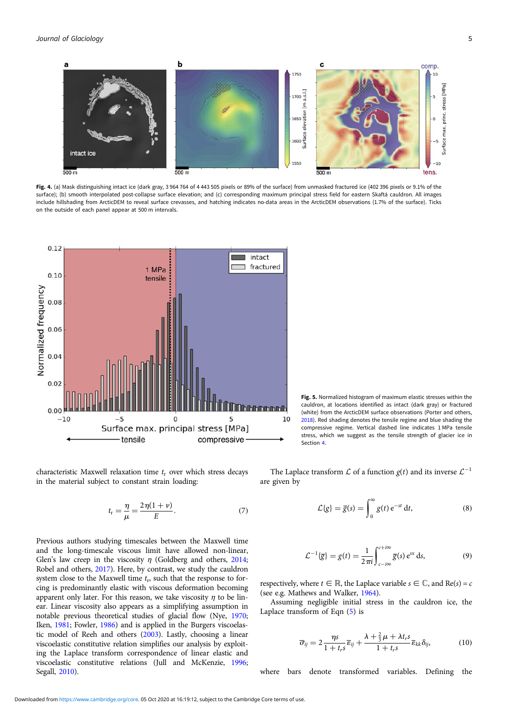<span id="page-4-0"></span>

Fig. 4. (a) Mask distinguishing intact ice (dark gray, 3964 764 of 4443 505 pixels or 89% of the surface) from unmasked fractured ice (402 396 pixels or 9.1% of the surface); (b) smooth interpolated post-collapse surface elevation; and (c) corresponding maximum principal stress field for eastern Skaftá cauldron. All images include hillshading from ArcticDEM to reveal surface crevasses, and hatching indicates no-data areas in the ArcticDEM observations (1.7% of the surface). Ticks on the outside of each panel appear at 500 m intervals.



characteristic Maxwell relaxation time  $t_r$  over which stress decays in the material subject to constant strain loading:

$$
t_{\rm r} = \frac{\eta}{\mu} = \frac{2\eta(1+\nu)}{E}.
$$
 (7)

Previous authors studying timescales between the Maxwell time and the long-timescale viscous limit have allowed non-linear, Glen's law creep in the viscosity  $\eta$  (Goldberg and others, [2014;](#page-9-0) Robel and others, [2017\)](#page-9-0). Here, by contrast, we study the cauldron system close to the Maxwell time  $t_r$ , such that the response to forcing is predominantly elastic with viscous deformation becoming apparent only later. For this reason, we take viscosity  $\eta$  to be linear. Linear viscosity also appears as a simplifying assumption in notable previous theoretical studies of glacial flow (Nye, [1970;](#page-9-0) Iken, [1981](#page-9-0); Fowler, [1986\)](#page-8-0) and is applied in the Burgers viscoelastic model of Reeh and others [\(2003](#page-9-0)). Lastly, choosing a linear viscoelastic constitutive relation simplifies our analysis by exploiting the Laplace transform correspondence of linear elastic and viscoelastic constitutive relations (Jull and McKenzie, [1996;](#page-9-0) Segall, [2010](#page-9-0)).

Fig. 5. Normalized histogram of maximum elastic stresses within the cauldron, at locations identified as intact (dark gray) or fractured (white) from the ArcticDEM surface observations (Porter and others, [2018](#page-9-0)). Red shading denotes the tensile regime and blue shading the compressive regime. Vertical dashed line indicates 1 MPa tensile stress, which we suggest as the tensile strength of glacier ice in Section [4](#page-7-0).

The Laplace transform  $\mathcal L$  of a function  $\varrho(t)$  and its inverse  $\mathcal L^{-1}$ are given by

$$
\mathcal{L}{g} = \overline{g}(s) = \int_0^\infty g(t) e^{-st} dt,
$$
\n(8)

$$
\mathcal{L}^{-1}\{\overline{g}\} = g(t) = \frac{1}{2\pi i} \int_{c-i\infty}^{c+i\infty} \overline{g}(s) e^{sx} ds,
$$
 (9)

respectively, where  $t \in \mathbb{R}$ , the Laplace variable  $s \in \mathbb{C}$ , and Re(s) = c (see e.g. Mathews and Walker, [1964\)](#page-9-0).

Assuming negligible initial stress in the cauldron ice, the Laplace transform of Eqn [\(5\)](#page-3-0) is

$$
\overline{\sigma}_{ij} = 2 \frac{\eta s}{1 + t_r s} \overline{\epsilon}_{ij} + \frac{\lambda + \frac{2}{3}\mu + \lambda t_r s}{1 + t_r s} \overline{\epsilon}_{kk} \delta_{ij},
$$
(10)

where bars denote transformed variables. Defining the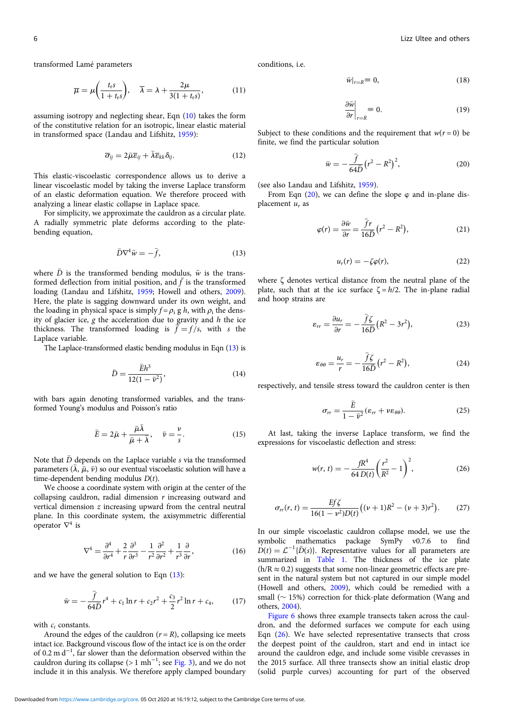<span id="page-5-0"></span>transformed Lamé parameters

$$
\overline{\mu} = \mu \left( \frac{t_r s}{1 + t_r s} \right), \quad \overline{\lambda} = \lambda + \frac{2\mu}{3(1 + t_r s)}, \tag{11}
$$

assuming isotropy and neglecting shear, Eqn [\(10](#page-4-0)) takes the form of the constitutive relation for an isotropic, linear elastic material in transformed space (Landau and Lifshitz, [1959\)](#page-9-0):

$$
\overline{\sigma}_{ij} = 2\overline{\mu}\overline{\epsilon}_{ij} + \overline{\lambda}\overline{\epsilon}_{kk}\delta_{ij}.
$$
 (12)

This elastic-viscoelastic correspondence allows us to derive a linear viscoelastic model by taking the inverse Laplace transform of an elastic deformation equation. We therefore proceed with analyzing a linear elastic collapse in Laplace space.

For simplicity, we approximate the cauldron as a circular plate. A radially symmetric plate deforms according to the platebending equation,

$$
\bar{D}\nabla^4 \bar{w} = -\bar{f},\tag{13}
$$

where  $\bar{D}$  is the transformed bending modulus,  $\bar{w}$  is the transformed deflection from initial position, and  $\bar{f}$  is the transformed loading (Landau and Lifshitz, [1959;](#page-9-0) Howell and others, [2009\)](#page-9-0). Here, the plate is sagging downward under its own weight, and the loading in physical space is simply  $f = \rho_i g h$ , with  $\rho_i$  the density of glacier ice,  $g$  the acceleration due to gravity and  $h$  the ice thickness. The transformed loading is  $\bar{f} = f/s$ , with s the Laplace variable.

The Laplace-transformed elastic bending modulus in Eqn (13) is

$$
\bar{D} = \frac{\bar{E}h^3}{12(1 - \bar{v}^2)},
$$
\n(14)

with bars again denoting transformed variables, and the transformed Young's modulus and Poisson's ratio

$$
\bar{E} = 2\bar{\mu} + \frac{\bar{\mu}\bar{\lambda}}{\bar{\mu} + \bar{\lambda}}, \quad \bar{\nu} = \frac{\nu}{s}.
$$
 (15)

Note that  $\bar{D}$  depends on the Laplace variable s via the transformed parameters  $(\bar{\lambda}, \bar{\mu}, \bar{\nu})$  so our eventual viscoelastic solution will have a time-dependent bending modulus  $D(t)$ .

We choose a coordinate system with origin at the center of the collapsing cauldron, radial dimension  $r$  increasing outward and vertical dimension  $z$  increasing upward from the central neutral plane. In this coordinate system, the axisymmetric differential operator  $\nabla^4$  is

$$
\nabla^4 = \frac{\partial^4}{\partial r^4} + \frac{2}{r} \frac{\partial^3}{\partial r^3} - \frac{1}{r^2} \frac{\partial^2}{\partial r^2} + \frac{1}{r^3} \frac{\partial}{\partial r},\tag{16}
$$

and we have the general solution to Eqn (13):

$$
\bar{w} = -\frac{\bar{f}}{64\bar{D}}r^4 + c_1 \ln r + c_2 r^2 + \frac{c_3}{2}r^2 \ln r + c_4, \qquad (17)
$$

with  $c_i$  constants.

Around the edges of the cauldron  $(r = R)$ , collapsing ice meets intact ice. Background viscous flow of the intact ice is on the order of 0.2 m d−<sup>1</sup> , far slower than the deformation observed within the cauldron during its collapse (> 1 mh<sup>-1</sup>; see [Fig. 3](#page-3-0)), and we do not include it in this analysis. We therefore apply clamped boundary conditions, i.e.

$$
\bar{w}|_{r=R} \equiv 0,\tag{18}
$$

$$
\left. \frac{\partial \bar{w}}{\partial r} \right|_{r=R} = 0. \tag{19}
$$

Subject to these conditions and the requirement that  $w(r = 0)$  be finite, we find the particular solution

$$
\bar{w} = -\frac{\bar{f}}{64\bar{D}} (r^2 - R^2)^2,
$$
\n(20)

(see also Landau and Lifshitz, [1959\)](#page-9-0).

From Eqn  $(20)$ , we can define the slope  $\varphi$  and in-plane displacement  $u_r$  as

$$
\varphi(r) = \frac{\partial \bar{w}}{\partial r} = \frac{\bar{f}r}{16\bar{D}}(r^2 - R^2),\tag{21}
$$

$$
u_r(r) = -\zeta \varphi(r),\tag{22}
$$

where ζ denotes vertical distance from the neutral plane of the plate, such that at the ice surface  $\zeta = h/2$ . The in-plane radial and hoop strains are

$$
\varepsilon_{rr} = \frac{\partial u_r}{\partial r} = -\frac{\bar{f}\zeta}{16\bar{D}}(R^2 - 3r^2),\tag{23}
$$

$$
\varepsilon_{\theta\theta} = \frac{u_r}{r} = -\frac{\bar{f}\zeta}{16\bar{D}}(r^2 - R^2),\tag{24}
$$

respectively, and tensile stress toward the cauldron center is then

$$
\sigma_{rr} = \frac{\bar{E}}{1 - \bar{v}^2} (\varepsilon_{rr} + v \varepsilon_{\theta\theta}).
$$
\n(25)

At last, taking the inverse Laplace transform, we find the expressions for viscoelastic deflection and stress:

$$
w(r, t) = -\frac{fR^4}{64 D(t)} \left(\frac{r^2}{R^2} - 1\right)^2,
$$
\n(26)

$$
\sigma_{rr}(r, t) = \frac{E f \zeta}{16(1 - v^2)D(t)} \big( (v + 1)R^2 - (v + 3)r^2 \big).
$$
 (27)

In our simple viscoelastic cauldron collapse model, we use the symbolic mathematics package SymPy v0.7.6 to find  $D(t) = \mathcal{L}^{-1}{\{\overline{D}(s)\}}$ . Representative values for all parameters are summarized in [Table 1](#page-1-0). The thickness of the ice plate  $(h/R \approx 0.2)$  suggests that some non-linear geometric effects are present in the natural system but not captured in our simple model (Howell and others, [2009\)](#page-9-0), which could be remedied with a small ( $\sim$  15%) correction for thick-plate deformation (Wang and others, [2004](#page-9-0)).

[Figure 6](#page-6-0) shows three example transects taken across the cauldron, and the deformed surfaces we compute for each using Eqn (26). We have selected representative transects that cross the deepest point of the cauldron, start and end in intact ice around the cauldron edge, and include some visible crevasses in the 2015 surface. All three transects show an initial elastic drop (solid purple curves) accounting for part of the observed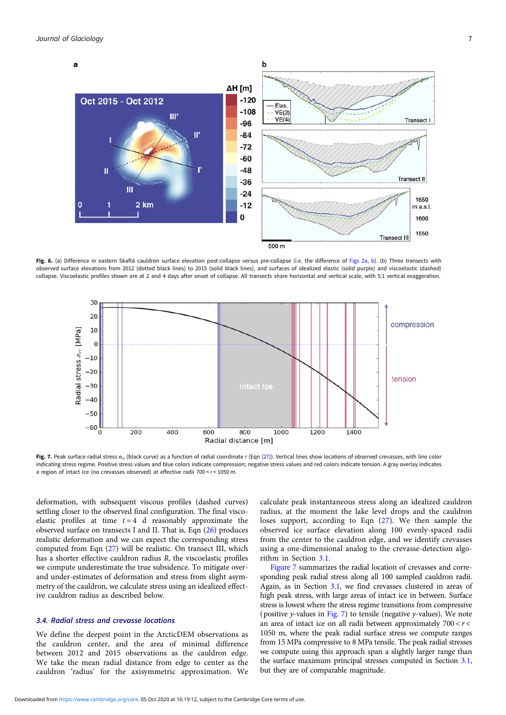<span id="page-6-0"></span>

Fig. 6. (a) Difference in eastern Skaftá cauldron surface elevation post-collapse versus pre-collapse (i.e. the difference of [Figs 2a, b\)](#page-2-0). (b) Three transects with observed surface elevations from 2012 (dotted black lines) to 2015 (solid black lines), and surfaces of idealized elastic (solid purple) and viscoelastic (dashed) collapse. Viscoelastic profiles shown are at 2 and 4 days after onset of collapse. All transects share horizontal and vertical scale, with 5:1 vertical exaggeration.



Fig. 7. Peak surface radial stress  $\sigma_r$  (black curve) as a function of radial coordinate r (Eqn [\(27\)](#page-5-0)). Vertical lines show locations of observed crevasses, with line color indicating stress regime. Positive stress values and blue colors indicate compression; negative stress values and red colors indicate tension. A gray overlay indicates a region of intact ice (no crevasses observed) at effective radii 700  $\leq$   $r$   $\leq$  1050 m.

deformation, with subsequent viscous profiles (dashed curves) settling closer to the observed final configuration. The final viscoelastic profiles at time  $t = 4$  d reasonably approximate the observed surface on transects I and II. That is, Eqn ([26\)](#page-5-0) produces realistic deformation and we can expect the corresponding stress computed from Eqn [\(27\)](#page-5-0) will be realistic. On transect III, which has a shorter effective cauldron radius R, the viscoelastic profiles we compute underestimate the true subsidence. To mitigate overand under-estimates of deformation and stress from slight asymmetry of the cauldron, we calculate stress using an idealized effective cauldron radius as described below.

## 3.4. Radial stress and crevasse locations

We define the deepest point in the ArcticDEM observations as the cauldron center, and the area of minimal difference between 2012 and 2015 observations as the cauldron edge. We take the mean radial distance from edge to center as the cauldron 'radius' for the axisymmetric approximation. We calculate peak instantaneous stress along an idealized cauldron radius, at the moment the lake level drops and the cauldron loses support, according to Eqn ([27](#page-5-0)). We then sample the observed ice surface elevation along 100 evenly-spaced radii from the center to the cauldron edge, and we identify crevasses using a one-dimensional analog to the crevasse-detection algorithm in Section [3.1.](#page-2-0)

Figure 7 summarizes the radial location of crevasses and corresponding peak radial stress along all 100 sampled cauldron radii. Again, as in Section [3.1,](#page-2-0) we find crevasses clustered in areas of high peak stress, with large areas of intact ice in between. Surface stress is lowest where the stress regime transitions from compressive (positive y-values in Fig. 7) to tensile (negative y-values). We note an area of intact ice on all radii between approximately  $700 < r <$ 1050 m, where the peak radial surface stress we compute ranges from 15 MPa compressive to 8 MPa tensile. The peak radial stresses we compute using this approach span a slightly larger range than the surface maximum principal stresses computed in Section [3.1](#page-2-0), but they are of comparable magnitude.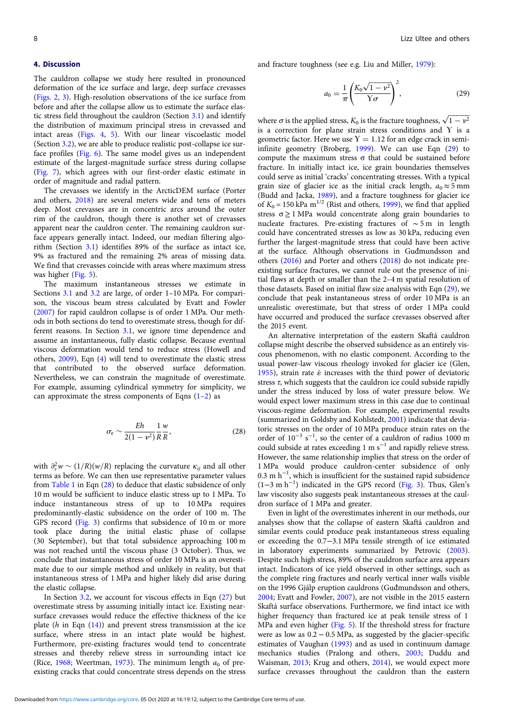<span id="page-7-0"></span>The cauldron collapse we study here resulted in pronounced deformation of the ice surface and large, deep surface crevasses ([Figs. 2](#page-2-0), [3](#page-3-0)). High-resolution observations of the ice surface from before and after the collapse allow us to estimate the surface elastic stress field throughout the cauldron (Section [3.1\)](#page-2-0) and identify the distribution of maximum principal stress in crevassed and intact areas ([Figs. 4](#page-4-0), [5\)](#page-4-0). With our linear viscoelastic model (Section [3.2](#page-3-0)), we are able to produce realistic post-collapse ice surface profiles [\(Fig. 6](#page-6-0)). The same model gives us an independent estimate of the largest-magnitude surface stress during collapse ([Fig. 7](#page-6-0)), which agrees with our first-order elastic estimate in order of magnitude and radial pattern.

The crevasses we identify in the ArcticDEM surface (Porter and others, [2018\)](#page-9-0) are several meters wide and tens of meters deep. Most crevasses are in concentric arcs around the outer rim of the cauldron, though there is another set of crevasses apparent near the cauldron center. The remaining cauldron surface appears generally intact. Indeed, our median filtering algorithm (Section [3.1](#page-2-0)) identifies 89% of the surface as intact ice, 9% as fractured and the remaining 2% areas of missing data. We find that crevasses coincide with areas where maximum stress was higher ([Fig. 5](#page-4-0)).

The maximum instantaneous stresses we estimate in Sections [3.1](#page-2-0) and [3.2](#page-3-0) are large, of order 1–10 MPa. For comparison, the viscous beam stress calculated by Evatt and Fowler ([2007](#page-8-0)) for rapid cauldron collapse is of order 1 MPa. Our methods in both sections do tend to overestimate stress, though for different reasons. In Section [3.1,](#page-2-0) we ignore time dependence and assume an instantaneous, fully elastic collapse. Because eventual viscous deformation would tend to reduce stress (Howell and others, [2009\)](#page-9-0), Eqn ([4](#page-2-0)) will tend to overestimate the elastic stress that contributed to the observed surface deformation. Nevertheless, we can constrain the magnitude of overestimate. For example, assuming cylindrical symmetry for simplicity, we can approximate the stress components of Eqns  $(1-2)$  $(1-2)$  $(1-2)$  $(1-2)$  as

$$
\sigma_{\rm e} \sim \frac{Eh}{2(1 - \nu^2)} \frac{1}{R} \frac{w}{R},\tag{28}
$$

with  $\partial_r^2 w \sim (1/R)(w/R)$  replacing the curvature  $\kappa_{ij}$  and all other terms as before. We can then use representative parameter values from [Table 1](#page-1-0) in Eqn (28) to deduce that elastic subsidence of only 10 m would be sufficient to induce elastic stress up to 1 MPa. To induce instantaneous stress of up to 10 MPa requires predominantly-elastic subsidence on the order of 100 m. The GPS record ([Fig. 3](#page-3-0)) confirms that subsidence of 10 m or more took place during the initial elastic phase of collapse (30 September), but that total subsidence approaching 100 m was not reached until the viscous phase (3 October). Thus, we conclude that instantaneous stress of order 10 MPa is an overestimate due to our simple method and unlikely in reality, but that instantaneous stress of 1 MPa and higher likely did arise during the elastic collapse.

In Section  $3.2$ , we account for viscous effects in Eqn  $(27)$  $(27)$  $(27)$  but overestimate stress by assuming initially intact ice. Existing nearsurface crevasses would reduce the effective thickness of the ice plate  $(h$  in Eqn  $(14)$  $(14)$ ) and prevent stress transmission at the ice surface, where stress in an intact plate would be highest. Furthermore, pre-existing fractures would tend to concentrate stresses and thereby relieve stress in surrounding intact ice (Rice,  $1968$ ; Weertman, [1973](#page-9-0)). The minimum length  $a_0$  of preexisting cracks that could concentrate stress depends on the stress and fracture toughness (see e.g. Liu and Miller, [1979](#page-9-0)):

$$
a_0 = \frac{1}{\pi} \left( \frac{K_0 \sqrt{1 - v^2}}{\Upsilon \sigma} \right)^2, \tag{29}
$$

where  $\sigma$  is the applied stress,  $K_0$  is the fracture toughness,  $\sqrt{1-v^2}$ is a correction for plane strain stress conditions and Y is a geometric factor. Here we use  $Y = 1.12$  for an edge crack in semiinfinite geometry (Broberg, [1999\)](#page-8-0). We can use Eqn (29) to compute the maximum stress σ that could be sustained before fracture. In initially intact ice, ice grain boundaries themselves could serve as initial 'cracks' concentrating stresses. With a typical grain size of glacier ice as the initial crack length,  $a_0 \approx 5$  mm (Budd and Jacka, [1989\)](#page-8-0), and a fracture toughness for glacier ice of  $K_0 = 150$  kPa m<sup>1/2</sup> (Rist and others, [1999](#page-9-0)), we find that applied stress  $\sigma \geq 1$  MPa would concentrate along grain boundaries to nucleate fractures. Pre-existing fractures of ∼ 5 m in length could have concentrated stresses as low as 30 kPa, reducing even further the largest-magnitude stress that could have been active at the surface. Although observations in Guđmundsson and others [\(2016\)](#page-9-0) and Porter and others [\(2018](#page-9-0)) do not indicate preexisting surface fractures, we cannot rule out the presence of initial flaws at depth or smaller than the 2–4 m spatial resolution of those datasets. Based on initial flaw size analysis with Eqn (29), we conclude that peak instantaneous stress of order 10 MPa is an unrealistic overestimate, but that stress of order 1 MPa could have occurred and produced the surface crevasses observed after the 2015 event.

An alternative interpretation of the eastern Skaftá cauldron collapse might describe the observed subsidence as an entirely viscous phenomenon, with no elastic component. According to the usual power-law viscous rheology invoked for glacier ice (Glen, [1955\)](#page-8-0), strain rate  $\dot{\varepsilon}$  increases with the third power of deviatoric stress  $\tau$ , which suggests that the cauldron ice could subside rapidly under the stress induced by loss of water pressure below. We would expect lower maximum stress in this case due to continual viscous-regime deformation. For example, experimental results (summarized in Goldsby and Kohlstedt, [2001\)](#page-9-0) indicate that deviatoric stresses on the order of 10 MPa produce strain rates on the order of  $10^{-3}$  s<sup>-1</sup>, so the center of a cauldron of radius 1000 m could subside at rates exceeding 1 m  $\rm s^{-1}$  and rapidly relieve stress. However, the same relationship implies that stress on the order of 1 MPa would produce cauldron-center subsidence of only 0.3 m h<sup>-1</sup>, which is insufficient for the sustained rapid subsidence (1−3mh−<sup>1</sup> ) indicated in the GPS record [\(Fig. 3\)](#page-3-0). Thus, Glen's law viscosity also suggests peak instantaneous stresses at the cauldron surface of 1 MPa and greater.

Even in light of the overestimates inherent in our methods, our analyses show that the collapse of eastern Skaftá cauldron and similar events could produce peak instantaneous stress equaling or exceeding the 0.7−3.1 MPa tensile strength of ice estimated in laboratory experiments summarized by Petrovic [\(2003](#page-9-0)). Despite such high stress, 89% of the cauldron surface area appears intact. Indicators of ice yield observed in other settings, such as the complete ring fractures and nearly vertical inner walls visible on the 1996 Gjálp eruption cauldrons (Guđmundsson and others, [2004;](#page-9-0) Evatt and Fowler, [2007\)](#page-8-0), are not visible in the 2015 eastern Skaftá surface observations. Furthermore, we find intact ice with higher frequency than fractured ice at peak tensile stress of 1 MPa and even higher ([Fig. 5](#page-4-0)). If the threshold stress for fracture were as low as 0.2 − 0.5 MPa, as suggested by the glacier-specific estimates of Vaughan ([1993](#page-9-0)) and as used in continuum damage mechanics studies (Pralong and others, [2003](#page-9-0); Duddu and Waisman, [2013](#page-8-0); Krug and others, [2014](#page-9-0)), we would expect more surface crevasses throughout the cauldron than the eastern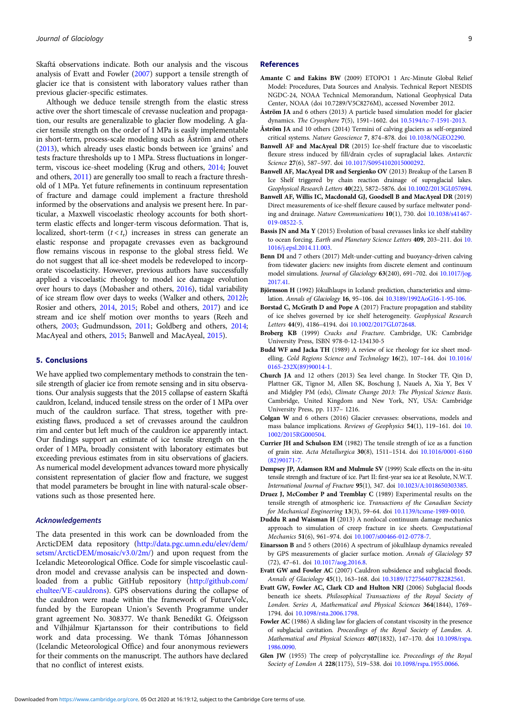<span id="page-8-0"></span>Skaftá observations indicate. Both our analysis and the viscous analysis of Evatt and Fowler (2007) support a tensile strength of glacier ice that is consistent with laboratory values rather than previous glacier-specific estimates.

Although we deduce tensile strength from the elastic stress active over the short timescale of crevasse nucleation and propagation, our results are generalizable to glacier flow modeling. A glacier tensile strength on the order of 1 MPa is easily implementable in short-term, process-scale modeling such as Åström and others (2013), which already uses elastic bonds between ice 'grains' and tests fracture thresholds up to 1 MPa. Stress fluctuations in longerterm, viscous ice-sheet modeling (Krug and others, [2014;](#page-9-0) Jouvet and others, [2011\)](#page-9-0) are generally too small to reach a fracture threshold of 1 MPa. Yet future refinements in continuum representation of fracture and damage could implement a fracture threshold informed by the observations and analysis we present here. In particular, a Maxwell viscoelastic rheology accounts for both shortterm elastic effects and longer-term viscous deformation. That is, localized, short-term  $(t < t_r)$  increases in stress can generate an elastic response and propagate crevasses even as background flow remains viscous in response to the global stress field. We do not suggest that all ice-sheet models be redeveloped to incorporate viscoelasticity. However, previous authors have successfully applied a viscoelastic rheology to model ice damage evolution over hours to days (Mobasher and others, [2016\)](#page-9-0), tidal variability of ice stream flow over days to weeks (Walker and others, [2012](#page-9-0)b; Rosier and others, [2014](#page-9-0), [2015](#page-9-0); Robel and others, [2017](#page-9-0)) and ice stream and ice shelf motion over months to years (Reeh and others, [2003](#page-9-0); Gudmundsson, [2011](#page-9-0); Goldberg and others, [2014;](#page-9-0) MacAyeal and others, [2015](#page-9-0); Banwell and MacAyeal, 2015).

## 5. Conclusions

We have applied two complementary methods to constrain the tensile strength of glacier ice from remote sensing and in situ observations. Our analysis suggests that the 2015 collapse of eastern Skaftá cauldron, Iceland, induced tensile stress on the order of 1 MPa over much of the cauldron surface. That stress, together with preexisting flaws, produced a set of crevasses around the cauldron rim and center but left much of the cauldron ice apparently intact. Our findings support an estimate of ice tensile strength on the order of 1 MPa, broadly consistent with laboratory estimates but exceeding previous estimates from in situ observations of glaciers. As numerical model development advances toward more physically consistent representation of glacier flow and fracture, we suggest that model parameters be brought in line with natural-scale observations such as those presented here.

## Acknowledgements

The data presented in this work can be downloaded from the ArcticDEM data repository [\(http://data.pgc.umn.edu/elev/dem/](http://data.pgc.umn.edu/elev/dem/setsm/ArcticDEM/mosaic/v3.0/2m/) [setsm/ArcticDEM/mosaic/v3.0/2m/\)](http://data.pgc.umn.edu/elev/dem/setsm/ArcticDEM/mosaic/v3.0/2m/) and upon request from the Icelandic Meteorological Office. Code for simple viscoelastic cauldron model and crevasse analysis can be inspected and downloaded from a public GitHub repository ([http://github.com/](http://github.com/ehultee/VE-cauldrons) [ehultee/VE-cauldrons](http://github.com/ehultee/VE-cauldrons)). GPS observations during the collapse of the cauldron were made within the framework of FutureVolc, funded by the European Union's Seventh Programme under grant agreement No. 308377. We thank Benedikt G. Ófeigsson and Vilhjálmur Kjartansson for their contributions to field work and data processing. We thank Tómas Jóhannesson (Icelandic Meteorological Office) and four anonymous reviewers for their comments on the manuscript. The authors have declared that no conflict of interest exists.

#### References

- Amante C and Eakins BW (2009) ETOPO1 1 Arc-Minute Global Relief Model: Procedures, Data Sources and Analysis. Technical Report NESDIS NGDC-24, NOAA Technical Memorandum, National Geophysical Data Center, NOAA (doi 10.7289/V5C8276M), accessed November 2012.
- Åström JA and 6 others (2013) A particle based simulation model for glacier dynamics. The Cryosphere 7(5), 1591–1602. doi [10.5194/tc-7-1591-2013](https://doi.org/10.5194/tc-7-1591-2013).
- Åström JA and 10 others (2014) Termini of calving glaciers as self-organized critical systems. Nature Geoscience 7, 874–878. doi [10.1038/NGEO2290.](https://doi.org/10.1038/NGEO2290)
- Banwell AF and MacAyeal DR (2015) Ice-shelf fracture due to viscoelastic flexure stress induced by fill/drain cycles of supraglacial lakes. Antarctic Science 27(6), 587–597. doi [10.1017/S0954102015000292](https://doi.org/10.1017/S0954102015000292).
- Banwell AF, MacAyeal DR and Sergienko OV (2013) Breakup of the Larsen B Ice Shelf triggered by chain reaction drainage of supraglacial lakes. Geophysical Research Letters 40(22), 5872–5876. doi [10.1002/2013GL057694.](https://doi.org/10.1002/2013GL057694)
- Banwell AF, Willis IC, Macdonald GJ, Goodsell B and MacAyeal DR (2019) Direct measurements of ice-shelf flexure caused by surface meltwater ponding and drainage. Nature Communications 10(1), 730. doi [10.1038/s41467-](https://doi.org/10.1038/s41467-019-08522-5) [019-08522-5](https://doi.org/10.1038/s41467-019-08522-5).
- Bassis JN and Ma Y (2015) Evolution of basal crevasses links ice shelf stability to ocean forcing. Earth and Planetary Science Letters 409, 203–211. doi [10.](https://doi.org/10.1016/j.epsl.2014.11.003) [1016/j.epsl.2014.11.003.](https://doi.org/10.1016/j.epsl.2014.11.003)
- Benn DI and 7 others (2017) Melt-under-cutting and buoyancy-driven calving from tidewater glaciers: new insights from discrete element and continuum model simulations. Journal of Glaciology 63(240), 691–702. doi [10.1017/jog.](https://doi.org/10.1017/jog.2017.41) [2017.41](https://doi.org/10.1017/jog.2017.41).
- Björnsson H (1992) Jökulhlaups in Iceland: prediction, characteristics and simulation. Annals of Glaciology 16, 95–106. doi [10.3189/1992AoG16-1-95-106.](https://doi.org/10.3189/1992AoG16-1-95-106)
- Borstad C, McGrath D and Pope A (2017) Fracture propagation and stability of ice shelves governed by ice shelf heterogeneity. Geophysical Research Letters 44(9), 4186–4194. doi [10.1002/2017GL072648.](https://doi.org/10.1002/2017GL072648)
- Broberg KB (1999) Cracks and Fracture. Cambridge, UK: Cambridge University Press, ISBN 978-0-12-134130-5
- Budd WF and Jacka TH (1989) A review of ice rheology for ice sheet modelling. Cold Regions Science and Technology 16(2), 107–144. doi [10.1016/](https://doi.org/10.1016/0165-232X(89)90014-1) [0165-232X\(89\)90014-1.](https://doi.org/10.1016/0165-232X(89)90014-1)
- Church JA and 12 others (2013) Sea level change. In Stocker TF, Qin D, Plattner GK, Tignor M, Allen SK, Boschung J, Nauels A, Xia Y, Bex V and Midgley PM (eds), Climate Change 2013: The Physical Science Basis. Cambridge, United Kingdom and New York, NY, USA: Cambridge University Press, pp. 1137– 1216.
- Colgan W and 6 others (2016) Glacier crevasses: observations, models and mass balance implications. Reviews of Geophysics 54(1), 119–161. doi [10.](https://doi.org/10.1002/2015RG000504) [1002/2015RG000504.](https://doi.org/10.1002/2015RG000504)
- Currier JH and Schulson EM (1982) The tensile strength of ice as a function of grain size. Acta Metallurgica 30(8), 1511–1514. doi [10.1016/0001-6160](https://doi.org/10.1016/0001-6160(82)90171-7) [\(82\)90171-7.](https://doi.org/10.1016/0001-6160(82)90171-7)
- Dempsey JP, Adamson RM and Mulmule SV (1999) Scale effects on the in-situ tensile strength and fracture of ice. Part II: first-year sea ice at Resolute, N.W.T. International Journal of Fracture 95(1), 347. doi [10.1023/A:1018650303385.](https://doi.org/10.1023/A:1018650303385)
- Druez J, McComber P and Tremblay C (1989) Experimental results on the tensile strength of atmospheric ice. Transactions of the Canadian Society for Mechanical Engineering 13(3), 59-64. doi [10.1139/tcsme-1989-0010.](https://doi.org/10.1139/tcsme-1989-0010)
- Duddu R and Waisman H (2013) A nonlocal continuum damage mechanics approach to simulation of creep fracture in ice sheets. Computational Mechanics 51(6), 961–974. doi [10.1007/s00466-012-0778-7](https://doi.org/10.1007/s00466-012-0778-7).
- Einarsson B and 5 others (2016) A spectrum of jökulhlaup dynamics revealed by GPS measurements of glacier surface motion. Annals of Glaciology 57 (72), 47–61. doi [10.1017/aog.2016.8](https://doi.org/10.1017/aog.2016.8).
- Evatt GW and Fowler AC (2007) Cauldron subsidence and subglacial floods. Annals of Glaciology 45(1), 163–168. doi [10.3189/172756407782282561.](https://doi.org/10.3189/172756407782282561)
- Evatt GW, Fowler AC, Clark CD and Hulton NRJ (2006) Subglacial floods beneath ice sheets. Philosophical Transactions of the Royal Society of London. Series A, Mathematical and Physical Sciences 364(1844), 1769-1794. doi [10.1098/rsta.2006.1798.](https://doi.org/10.1098/rsta.2006.1798)
- Fowler AC (1986) A sliding law for glaciers of constant viscosity in the presence of subglacial cavitation. Proceedings of the Royal Society of London. A. Mathematical and Physical Sciences 407(1832), 147–170. doi [10.1098/rspa.](https://doi.org/10.1098/rspa.1986.0090) [1986.0090.](https://doi.org/10.1098/rspa.1986.0090)
- Glen JW (1955) The creep of polycrystalline ice. Proceedings of the Royal Society of London A 228(1175), 519–538. doi [10.1098/rspa.1955.0066.](https://doi.org/10.1098/rspa.1955.0066)